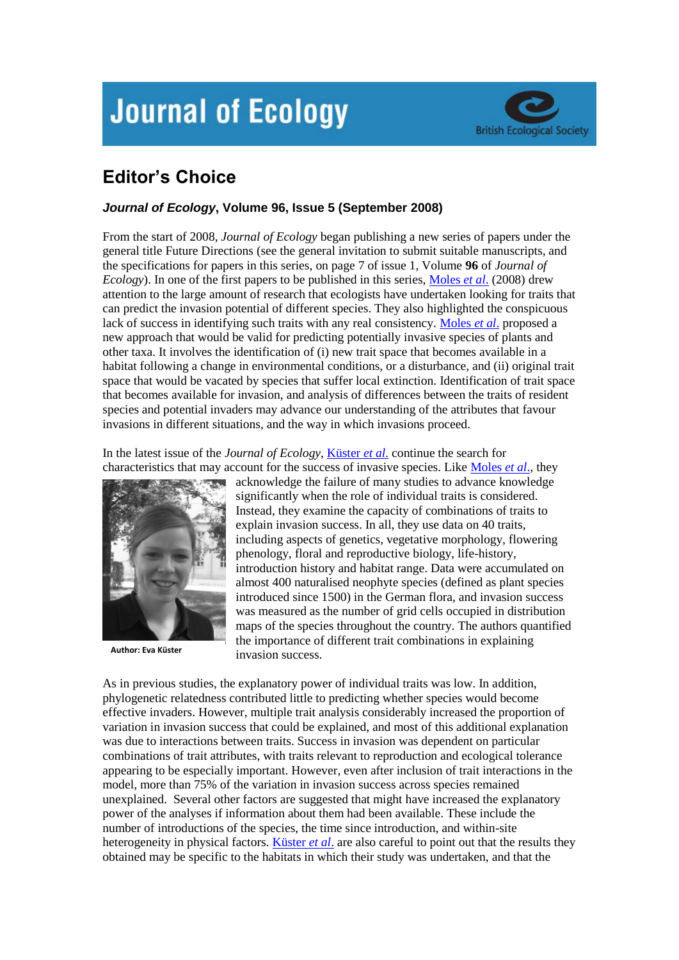## **Journal of Ecology**



## **Editor's Choice**

## *Journal of Ecology***, Volume 96, Issue 5 (September 2008)**

From the start of 2008, *Journal of Ecology* began publishing a new series of papers under the general title Future Directions (see the general invitation to submit suitable manuscripts, and the specifications for papers in this series, on page 7 of issue 1, Volume **96** of *Journal of Ecology*). In one of the first papers to be published in this series, [Moles](http://www3.interscience.wiley.com/journal/119392395/abstract) *et al*. (2008) drew attention to the large amount of research that ecologists have undertaken looking for traits that can predict the invasion potential of different species. They also highlighted the conspicuous lack of success in identifying such traits with any real consistency. [Moles](http://www3.interscience.wiley.com/journal/119392395/abstract) *et al*. proposed a new approach that would be valid for predicting potentially invasive species of plants and other taxa. It involves the identification of (i) new trait space that becomes available in a habitat following a change in environmental conditions, or a disturbance, and (ii) original trait space that would be vacated by species that suffer local extinction. Identification of trait space that becomes available for invasion, and analysis of differences between the traits of resident species and potential invaders may advance our understanding of the attributes that favour invasions in different situations, and the way in which invasions proceed.

In the latest issue of the *Journal of Ecology*[, Küster](http://www3.interscience.wiley.com/journal/120120690/abstract) *et al*. continue the search for characteristics that may account for the success of invasive species. Like [Moles](http://www3.interscience.wiley.com/journal/119392395/abstract) *et al*., they



**Author: Eva Küster**

acknowledge the failure of many studies to advance knowledge significantly when the role of individual traits is considered. Instead, they examine the capacity of combinations of traits to explain invasion success. In all, they use data on 40 traits, including aspects of genetics, vegetative morphology, flowering phenology, floral and reproductive biology, life-history, introduction history and habitat range. Data were accumulated on almost 400 naturalised neophyte species (defined as plant species introduced since 1500) in the German flora, and invasion success was measured as the number of grid cells occupied in distribution maps of the species throughout the country. The authors quantified the importance of different trait combinations in explaining invasion success.

As in previous studies, the explanatory power of individual traits was low. In addition, phylogenetic relatedness contributed little to predicting whether species would become effective invaders. However, multiple trait analysis considerably increased the proportion of variation in invasion success that could be explained, and most of this additional explanation was due to interactions between traits. Success in invasion was dependent on particular combinations of trait attributes, with traits relevant to reproduction and ecological tolerance appearing to be especially important. However, even after inclusion of trait interactions in the model, more than 75% of the variation in invasion success across species remained unexplained. Several other factors are suggested that might have increased the explanatory power of the analyses if information about them had been available. These include the number of introductions of the species, the time since introduction, and within-site heterogeneity in physical factors[. Küster](http://www3.interscience.wiley.com/journal/120120690/abstract) *et al*. are also careful to point out that the results they obtained may be specific to the habitats in which their study was undertaken, and that the